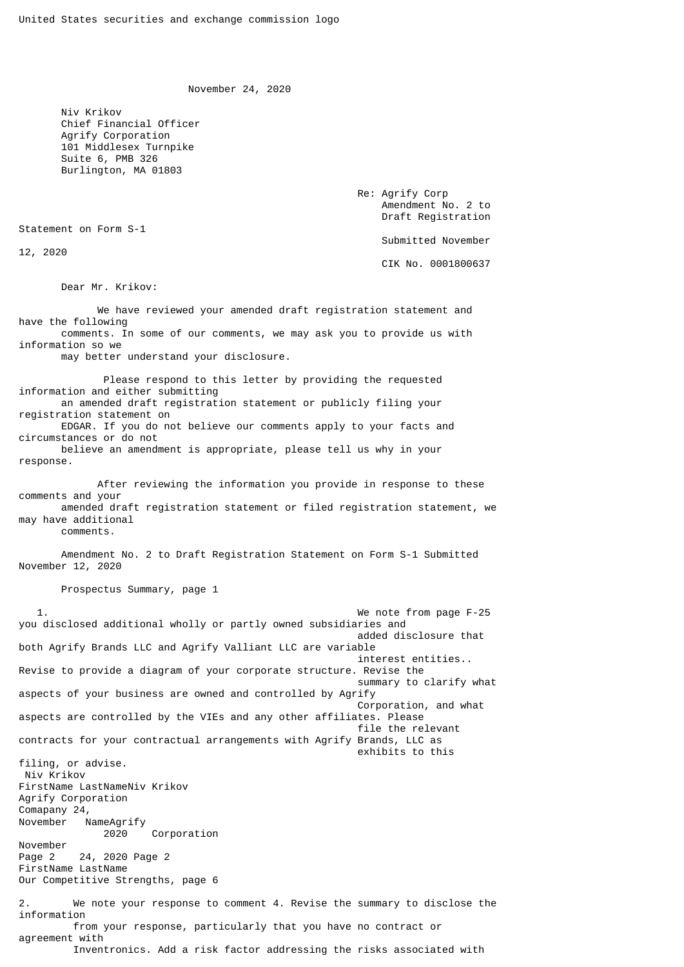November 24, 2020

 Niv Krikov Chief Financial Officer Agrify Corporation 101 Middlesex Turnpike Suite 6, PMB 326 Burlington, MA 01803

> Re: Agrify Corp Amendment No. 2 to Draft Registration

Statement on Form S-1

12, 2020

Submitted November

CIK No. 0001800637

Dear Mr. Krikov:

 We have reviewed your amended draft registration statement and have the following comments. In some of our comments, we may ask you to provide us with information so we may better understand your disclosure. Please respond to this letter by providing the requested information and either submitting an amended draft registration statement or publicly filing your registration statement on EDGAR. If you do not believe our comments apply to your facts and circumstances or do not believe an amendment is appropriate, please tell us why in your response. After reviewing the information you provide in response to these comments and your amended draft registration statement or filed registration statement, we may have additional comments. Amendment No. 2 to Draft Registration Statement on Form S-1 Submitted November 12, 2020 Prospectus Summary, page 1 We note from page F-25 you disclosed additional wholly or partly owned subsidiaries and added disclosure that both Agrify Brands LLC and Agrify Valliant LLC are variable interest entities.. Revise to provide a diagram of your corporate structure. Revise the summary to clarify what aspects of your business are owned and controlled by Agrify Corporation, and what aspects are controlled by the VIEs and any other affiliates. Please file the relevant contracts for your contractual arrangements with Agrify Brands, LLC as exhibits to this filing, or advise. Niv Krikov FirstName LastNameNiv Krikov Agrify Corporation Comapany 24,<br>November NameAgrify 2020 Corporation November Page 2 24, 2020 Page 2 FirstName LastName Our Competitive Strengths, page 6

2. We note your response to comment 4. Revise the summary to disclose the information from your response, particularly that you have no contract or agreement with Inventronics. Add a risk factor addressing the risks associated with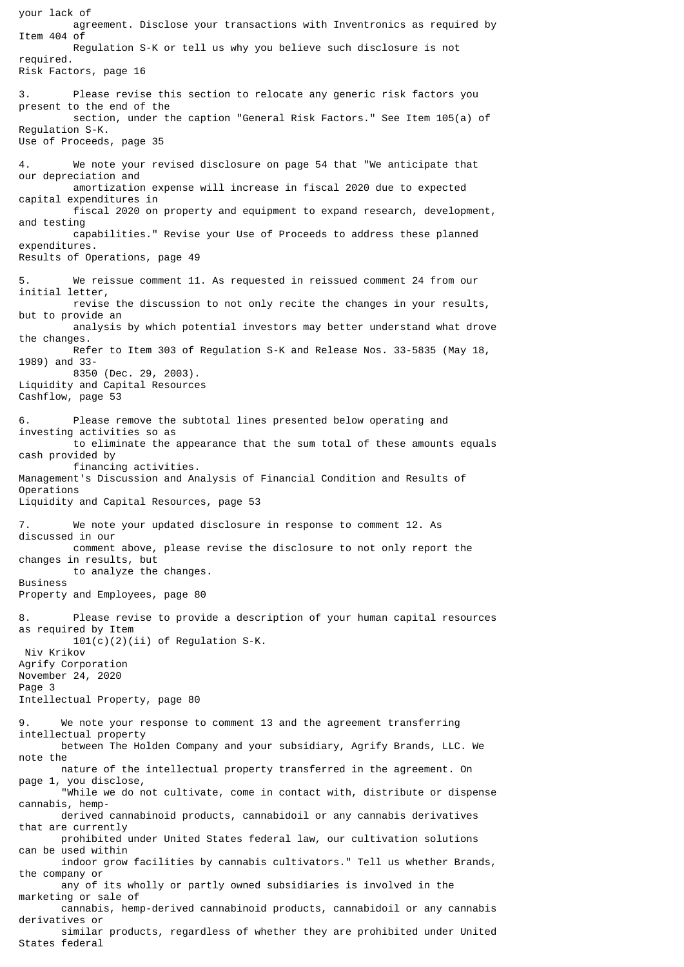your lack of agreement. Disclose your transactions with Inventronics as required by Item 404 of Regulation S-K or tell us why you believe such disclosure is not required. Risk Factors, page 16 3. Please revise this section to relocate any generic risk factors you present to the end of the section, under the caption "General Risk Factors." See Item 105(a) of Regulation S-K. Use of Proceeds, page 35 4. We note your revised disclosure on page 54 that "We anticipate that our depreciation and amortization expense will increase in fiscal 2020 due to expected capital expenditures in fiscal 2020 on property and equipment to expand research, development, and testing capabilities." Revise your Use of Proceeds to address these planned expenditures. Results of Operations, page 49 5. We reissue comment 11. As requested in reissued comment 24 from our initial letter, revise the discussion to not only recite the changes in your results, but to provide an analysis by which potential investors may better understand what drove the changes. Refer to Item 303 of Regulation S-K and Release Nos. 33-5835 (May 18, 1989) and 33- 8350 (Dec. 29, 2003). Liquidity and Capital Resources Cashflow, page 53 6. Please remove the subtotal lines presented below operating and investing activities so as to eliminate the appearance that the sum total of these amounts equals cash provided by financing activities. Management's Discussion and Analysis of Financial Condition and Results of Operations Liquidity and Capital Resources, page 53 7. We note your updated disclosure in response to comment 12. As discussed in our comment above, please revise the disclosure to not only report the changes in results, but to analyze the changes. Business Property and Employees, page 80 8. Please revise to provide a description of your human capital resources as required by Item  $101(c)(2)(ii)$  of Regulation S-K. Niv Krikov Agrify Corporation November 24, 2020 Page 3 Intellectual Property, page 80 9. We note your response to comment 13 and the agreement transferring intellectual property between The Holden Company and your subsidiary, Agrify Brands, LLC. We note the nature of the intellectual property transferred in the agreement. On page 1, you disclose, "While we do not cultivate, come in contact with, distribute or dispense cannabis, hemp derived cannabinoid products, cannabidoil or any cannabis derivatives that are currently prohibited under United States federal law, our cultivation solutions can be used within indoor grow facilities by cannabis cultivators." Tell us whether Brands, the company or any of its wholly or partly owned subsidiaries is involved in the marketing or sale of cannabis, hemp-derived cannabinoid products, cannabidoil or any cannabis derivatives or similar products, regardless of whether they are prohibited under United States federal